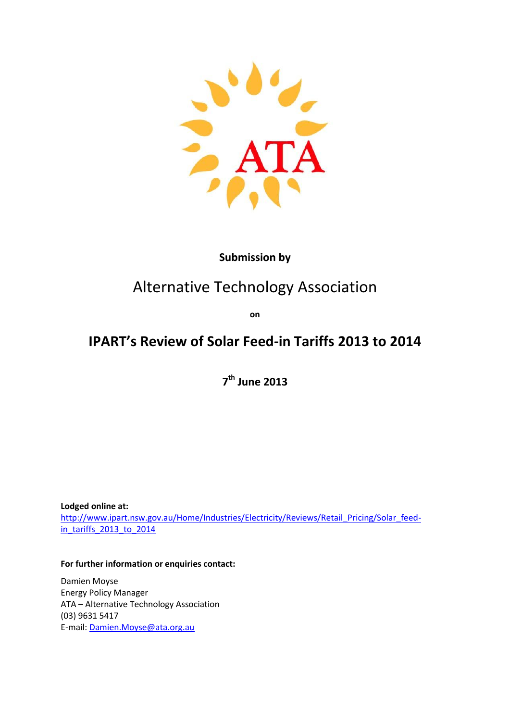

#### **Submission by**

# Alternative Technology Association

**on**

## **IPART's Review of Solar Feed-in Tariffs 2013 to 2014**

**7 th June 2013**

**Lodged online at:** [http://www.ipart.nsw.gov.au/Home/Industries/Electricity/Reviews/Retail\\_Pricing/Solar\\_feed](http://www.ipart.nsw.gov.au/Home/Industries/Electricity/Reviews/Retail_Pricing/Solar_feed-in_tariffs_2013_to_2014)[in\\_tariffs\\_2013\\_to\\_2014](http://www.ipart.nsw.gov.au/Home/Industries/Electricity/Reviews/Retail_Pricing/Solar_feed-in_tariffs_2013_to_2014)

**For further information or enquiries contact:**

Damien Moyse Energy Policy Manager ATA – Alternative Technology Association (03) 9631 5417 E-mail: [Damien.Moyse@ata.org.au](mailto:Damien.Moyse@ata.org.au)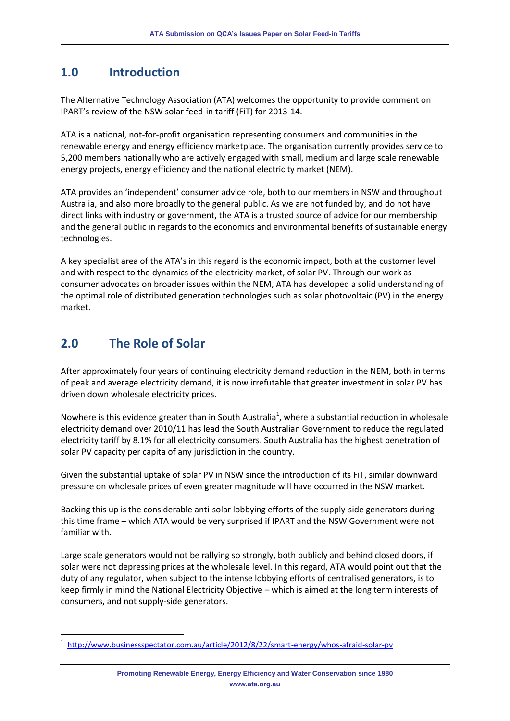#### **1.0 Introduction**

The Alternative Technology Association (ATA) welcomes the opportunity to provide comment on IPART's review of the NSW solar feed-in tariff (FiT) for 2013-14.

ATA is a national, not-for-profit organisation representing consumers and communities in the renewable energy and energy efficiency marketplace. The organisation currently provides service to 5,200 members nationally who are actively engaged with small, medium and large scale renewable energy projects, energy efficiency and the national electricity market (NEM).

ATA provides an 'independent' consumer advice role, both to our members in NSW and throughout Australia, and also more broadly to the general public. As we are not funded by, and do not have direct links with industry or government, the ATA is a trusted source of advice for our membership and the general public in regards to the economics and environmental benefits of sustainable energy technologies.

A key specialist area of the ATA's in this regard is the economic impact, both at the customer level and with respect to the dynamics of the electricity market, of solar PV. Through our work as consumer advocates on broader issues within the NEM, ATA has developed a solid understanding of the optimal role of distributed generation technologies such as solar photovoltaic (PV) in the energy market.

### **2.0 The Role of Solar**

 $\overline{a}$ 

After approximately four years of continuing electricity demand reduction in the NEM, both in terms of peak and average electricity demand, it is now irrefutable that greater investment in solar PV has driven down wholesale electricity prices.

Nowhere is this evidence greater than in South Australia<sup>1</sup>, where a substantial reduction in wholesale electricity demand over 2010/11 has lead the South Australian Government to reduce the regulated electricity tariff by 8.1% for all electricity consumers. South Australia has the highest penetration of solar PV capacity per capita of any jurisdiction in the country.

Given the substantial uptake of solar PV in NSW since the introduction of its FiT, similar downward pressure on wholesale prices of even greater magnitude will have occurred in the NSW market.

Backing this up is the considerable anti-solar lobbying efforts of the supply-side generators during this time frame – which ATA would be very surprised if IPART and the NSW Government were not familiar with.

Large scale generators would not be rallying so strongly, both publicly and behind closed doors, if solar were not depressing prices at the wholesale level. In this regard, ATA would point out that the duty of any regulator, when subject to the intense lobbying efforts of centralised generators, is to keep firmly in mind the National Electricity Objective – which is aimed at the long term interests of consumers, and not supply-side generators.

<sup>1</sup> <http://www.businessspectator.com.au/article/2012/8/22/smart-energy/whos-afraid-solar-pv>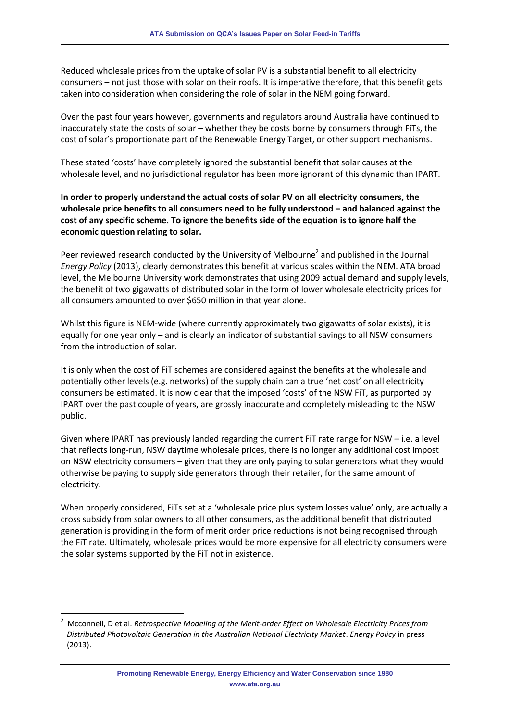Reduced wholesale prices from the uptake of solar PV is a substantial benefit to all electricity consumers – not just those with solar on their roofs. It is imperative therefore, that this benefit gets taken into consideration when considering the role of solar in the NEM going forward.

Over the past four years however, governments and regulators around Australia have continued to inaccurately state the costs of solar – whether they be costs borne by consumers through FiTs, the cost of solar's proportionate part of the Renewable Energy Target, or other support mechanisms.

These stated 'costs' have completely ignored the substantial benefit that solar causes at the wholesale level, and no jurisdictional regulator has been more ignorant of this dynamic than IPART.

**In order to properly understand the actual costs of solar PV on all electricity consumers, the wholesale price benefits to all consumers need to be fully understood – and balanced against the cost of any specific scheme. To ignore the benefits side of the equation is to ignore half the economic question relating to solar.**

Peer reviewed research conducted by the University of Melbourne<sup>2</sup> and published in the Journal *Energy Policy* (2013), clearly demonstrates this benefit at various scales within the NEM. ATA broad level, the Melbourne University work demonstrates that using 2009 actual demand and supply levels, the benefit of two gigawatts of distributed solar in the form of lower wholesale electricity prices for all consumers amounted to over \$650 million in that year alone.

Whilst this figure is NEM-wide (where currently approximately two gigawatts of solar exists), it is equally for one year only – and is clearly an indicator of substantial savings to all NSW consumers from the introduction of solar.

It is only when the cost of FiT schemes are considered against the benefits at the wholesale and potentially other levels (e.g. networks) of the supply chain can a true 'net cost' on all electricity consumers be estimated. It is now clear that the imposed 'costs' of the NSW FiT, as purported by IPART over the past couple of years, are grossly inaccurate and completely misleading to the NSW public.

Given where IPART has previously landed regarding the current FiT rate range for NSW – i.e. a level that reflects long-run, NSW daytime wholesale prices, there is no longer any additional cost impost on NSW electricity consumers – given that they are only paying to solar generators what they would otherwise be paying to supply side generators through their retailer, for the same amount of electricity.

When properly considered, FiTs set at a 'wholesale price plus system losses value' only, are actually a cross subsidy from solar owners to all other consumers, as the additional benefit that distributed generation is providing in the form of merit order price reductions is not being recognised through the FiT rate. Ultimately, wholesale prices would be more expensive for all electricity consumers were the solar systems supported by the FiT not in existence.

 $\overline{\phantom{a}}$ 

<sup>2</sup> Mcconnell, D et al. *Retrospective Modeling of the Merit-order Effect on Wholesale Electricity Prices from Distributed Photovoltaic Generation in the Australian National Electricity Market*. *Energy Policy* in press (2013).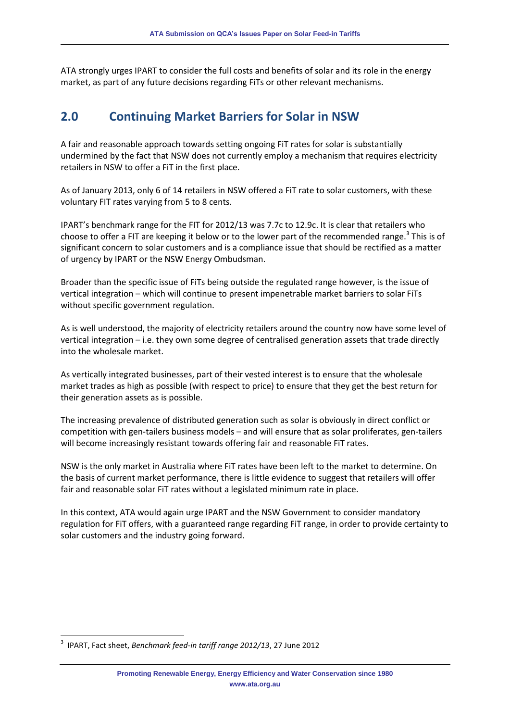ATA strongly urges IPART to consider the full costs and benefits of solar and its role in the energy market, as part of any future decisions regarding FiTs or other relevant mechanisms.

#### **2.0 Continuing Market Barriers for Solar in NSW**

A fair and reasonable approach towards setting ongoing FiT rates for solar is substantially undermined by the fact that NSW does not currently employ a mechanism that requires electricity retailers in NSW to offer a FiT in the first place.

As of January 2013, only 6 of 14 retailers in NSW offered a FiT rate to solar customers, with these voluntary FIT rates varying from 5 to 8 cents.

IPART's benchmark range for the FIT for 2012/13 was 7.7c to 12.9c. It is clear that retailers who choose to offer a FIT are keeping it below or to the lower part of the recommended range.<sup>3</sup> This is of significant concern to solar customers and is a compliance issue that should be rectified as a matter of urgency by IPART or the NSW Energy Ombudsman.

Broader than the specific issue of FiTs being outside the regulated range however, is the issue of vertical integration – which will continue to present impenetrable market barriers to solar FiTs without specific government regulation.

As is well understood, the majority of electricity retailers around the country now have some level of vertical integration – i.e. they own some degree of centralised generation assets that trade directly into the wholesale market.

As vertically integrated businesses, part of their vested interest is to ensure that the wholesale market trades as high as possible (with respect to price) to ensure that they get the best return for their generation assets as is possible.

The increasing prevalence of distributed generation such as solar is obviously in direct conflict or competition with gen-tailers business models – and will ensure that as solar proliferates, gen-tailers will become increasingly resistant towards offering fair and reasonable FiT rates.

NSW is the only market in Australia where FiT rates have been left to the market to determine. On the basis of current market performance, there is little evidence to suggest that retailers will offer fair and reasonable solar FiT rates without a legislated minimum rate in place.

In this context, ATA would again urge IPART and the NSW Government to consider mandatory regulation for FiT offers, with a guaranteed range regarding FiT range, in order to provide certainty to solar customers and the industry going forward.

 $\overline{\phantom{a}}$ 

<sup>3</sup> IPART, Fact sheet, *Benchmark feed-in tariff range 2012/13*, 27 June 2012